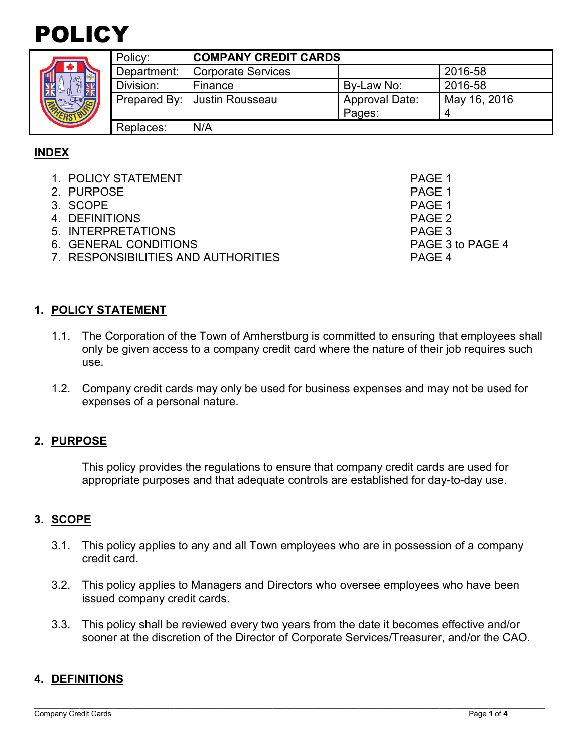# POLICY



|  | Policy:     | <b>COMPANY CREDIT CARDS</b>    |                       |              |
|--|-------------|--------------------------------|-----------------------|--------------|
|  | Department: | <b>Corporate Services</b>      |                       | 2016-58      |
|  | Division:   | Finance                        | By-Law No:            | 2016-58      |
|  |             | Prepared By:   Justin Rousseau | <b>Approval Date:</b> | May 16, 2016 |
|  |             |                                | Pages:                |              |
|  | Replaces:   | N/A                            |                       |              |

# **INDEX**

- 1. POLICY STATEMENT PAGE 1
- 2. PURPOSE PAGE 1<br>3. SCOPE PAGE 1
- 3. SCOPE
- 
- 4. DEFINITIONS PAGE 2<br>5. INTERPRETATIONS PAGE 3 5. INTERPRETATIONS
- 6. GENERAL CONDITIONS PAGE 3 to PAGE 4
- 7. RESPONSIBILITIES AND AUTHORITIES PAGE 4

**1. POLICY STATEMENT**

- 1.1. The Corporation of the Town of Amherstburg is committed to ensuring that employees shall only be given access to a company credit card where the nature of their job requires such use.
- 1.2. Company credit cards may only be used for business expenses and may not be used for expenses of a personal nature.

## **2. PURPOSE**

This policy provides the regulations to ensure that company credit cards are used for appropriate purposes and that adequate controls are established for day-to-day use.

## **3. SCOPE**

- 3.1. This policy applies to any and all Town employees who are in possession of a company credit card.
- 3.2. This policy applies to Managers and Directors who oversee employees who have been issued company credit cards.
- 3.3. This policy shall be reviewed every two years from the date it becomes effective and/or sooner at the discretion of the Director of Corporate Services/Treasurer, and/or the CAO.

#### **4. DEFINITIONS**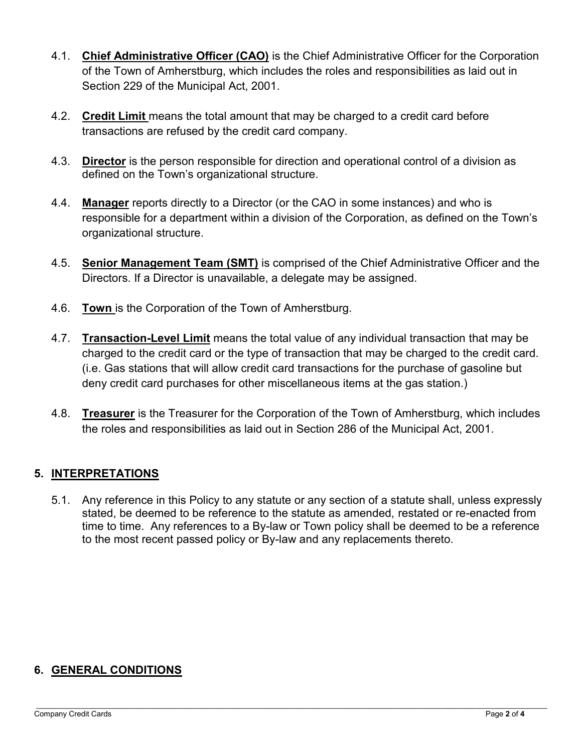- 4.1. **Chief Administrative Officer (CAO)** is the Chief Administrative Officer for the Corporation of the Town of Amherstburg, which includes the roles and responsibilities as laid out in Section 229 of the Municipal Act, 2001.
- 4.2. **Credit Limit** means the total amount that may be charged to a credit card before transactions are refused by the credit card company.
- 4.3. **Director** is the person responsible for direction and operational control of a division as defined on the Town's organizational structure.
- 4.4. **Manager** reports directly to a Director (or the CAO in some instances) and who is responsible for a department within a division of the Corporation, as defined on the Town's organizational structure.
- 4.5. **Senior Management Team (SMT)** is comprised of the Chief Administrative Officer and the Directors. If a Director is unavailable, a delegate may be assigned.
- 4.6. **Town** is the Corporation of the Town of Amherstburg.
- 4.7. **Transaction-Level Limit** means the total value of any individual transaction that may be charged to the credit card or the type of transaction that may be charged to the credit card. (i.e. Gas stations that will allow credit card transactions for the purchase of gasoline but deny credit card purchases for other miscellaneous items at the gas station.)
- 4.8. **Treasurer** is the Treasurer for the Corporation of the Town of Amherstburg, which includes the roles and responsibilities as laid out in Section 286 of the Municipal Act, 2001.

## **5. INTERPRETATIONS**

5.1. Any reference in this Policy to any statute or any section of a statute shall, unless expressly stated, be deemed to be reference to the statute as amended, restated or re-enacted from time to time. Any references to a By-law or Town policy shall be deemed to be a reference to the most recent passed policy or By-law and any replacements thereto.

# **6. GENERAL CONDITIONS**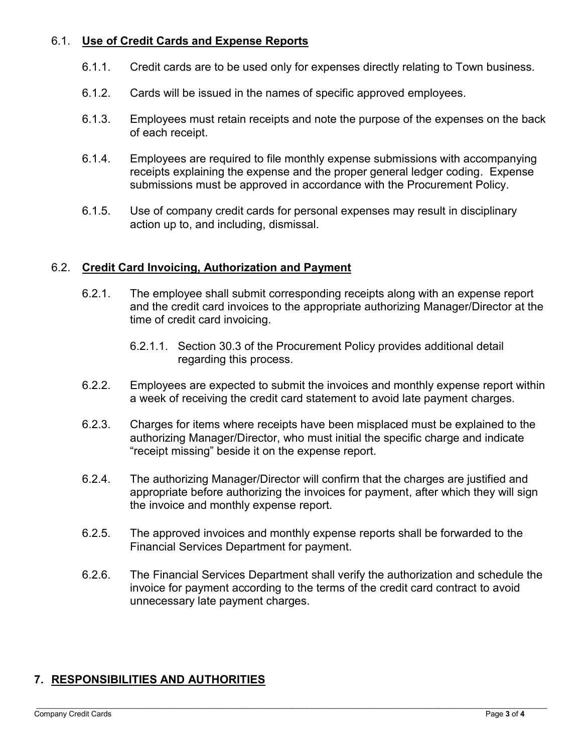## 6.1. **Use of Credit Cards and Expense Reports**

- 6.1.1. Credit cards are to be used only for expenses directly relating to Town business.
- 6.1.2. Cards will be issued in the names of specific approved employees.
- 6.1.3. Employees must retain receipts and note the purpose of the expenses on the back of each receipt.
- 6.1.4. Employees are required to file monthly expense submissions with accompanying receipts explaining the expense and the proper general ledger coding. Expense submissions must be approved in accordance with the Procurement Policy.
- 6.1.5. Use of company credit cards for personal expenses may result in disciplinary action up to, and including, dismissal.

## 6.2. **Credit Card Invoicing, Authorization and Payment**

- 6.2.1. The employee shall submit corresponding receipts along with an expense report and the credit card invoices to the appropriate authorizing Manager/Director at the time of credit card invoicing.
	- 6.2.1.1. Section 30.3 of the Procurement Policy provides additional detail regarding this process.
- 6.2.2. Employees are expected to submit the invoices and monthly expense report within a week of receiving the credit card statement to avoid late payment charges.
- 6.2.3. Charges for items where receipts have been misplaced must be explained to the authorizing Manager/Director, who must initial the specific charge and indicate "receipt missing" beside it on the expense report.
- 6.2.4. The authorizing Manager/Director will confirm that the charges are justified and appropriate before authorizing the invoices for payment, after which they will sign the invoice and monthly expense report.
- 6.2.5. The approved invoices and monthly expense reports shall be forwarded to the Financial Services Department for payment.
- 6.2.6. The Financial Services Department shall verify the authorization and schedule the invoice for payment according to the terms of the credit card contract to avoid unnecessary late payment charges.

## **7. RESPONSIBILITIES AND AUTHORITIES**